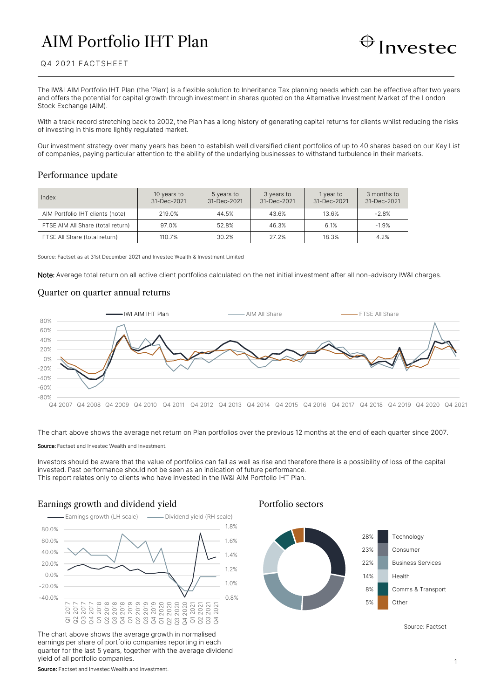# AIM Portfolio IHT Plan



### Q4 2021 FACTSHEET

The IW&I AIM Portfolio IHT Plan (the 'Plan') is a flexible solution to Inheritance Tax planning needs which can be effective after two years and offers the potential for capital growth through investment in shares quoted on the Alternative Investment Market of the London Stock Exchange (AIM).

With a track record stretching back to 2002, the Plan has a long history of generating capital returns for clients whilst reducing the risks of investing in this more lightly regulated market.

Our investment strategy over many years has been to establish well diversified client portfolios of up to 40 shares based on our Key List of companies, paying particular attention to the ability of the underlying businesses to withstand turbulence in their markets.

### Performance update

| Index                             | 10 years to<br>31-Dec-2021 | 5 years to<br>31-Dec-2021 | 3 years to<br>31-Dec-2021 | 1 year to<br>31-Dec-2021 | 3 months to<br>31-Dec-2021 |
|-----------------------------------|----------------------------|---------------------------|---------------------------|--------------------------|----------------------------|
| AIM Portfolio IHT clients (note)  | 219.0%                     | 44.5%                     | 43.6%                     | 13.6%                    | $-2.8%$                    |
| FTSE AIM All Share (total return) | 97.0%                      | 52.8%                     | 46.3%                     | 6.1%                     | $-1.9%$                    |
| FTSE All Share (total return)     | 110.7%                     | 30.2%                     | 27.2%                     | 18.3%                    | 4.2%                       |

Source: Factset as at 31st December 2021 and Investec Wealth & Investment Limited

Note: Average total return on all active client portfolios calculated on the net initial investment after all non-advisory IW&I charges.

### Quarter on quarter annual returns



The chart above shows the average net return on Plan portfolios over the previous 12 months at the end of each quarter since 2007.

Source: Factset and Investec Wealth and Investment.

Investors should be aware that the value of portfolios can fall as well as rise and therefore there is a possibility of loss of the capital invested. Past performance should not be seen as an indication of future performance. This report relates only to clients who have invested in the IW&I AIM Portfolio IHT Plan.

# Earnings growth and dividend yield Portfolio sectors



The chart above shows the average growth in normalised earnings per share of portfolio companies reporting in each quarter for the last 5 years, together with the average dividend yield of all portfolio companies.



Source: Factset

**Source:** Factset and Investec Wealth and Investment.